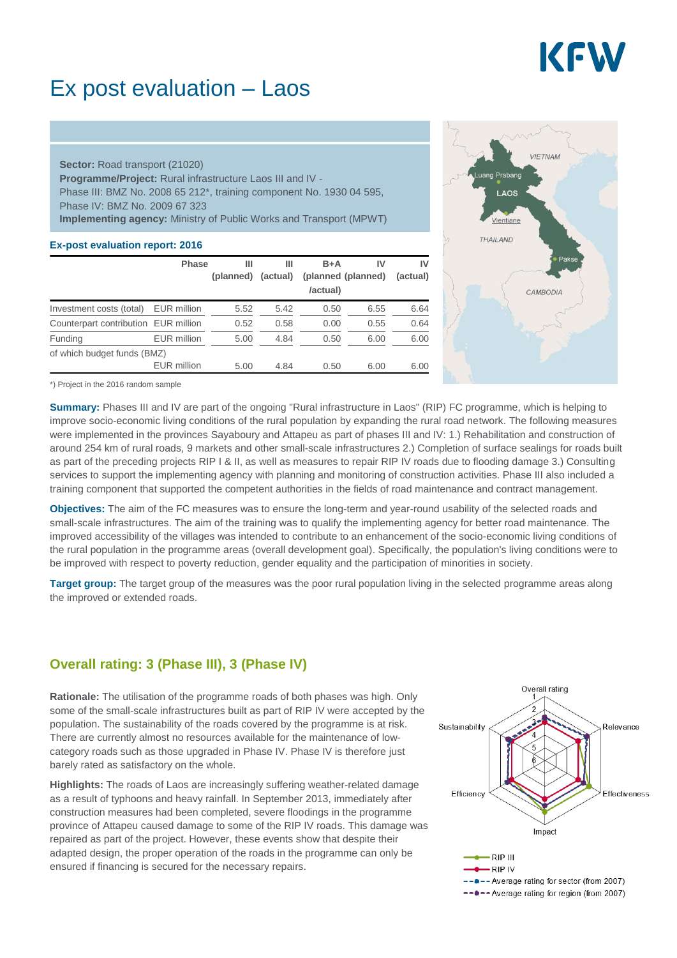

## Ex post evaluation – Laos

**Sector:** Road transport (21020) **Programme/Project:** Rural infrastructure Laos III and IV - Phase III: BMZ No. 2008 65 212\*, training component No. 1930 04 595, Phase IV: BMZ No. 2009 67 323 **Implementing agency:** Ministry of Public Works and Transport (MPWT)

#### **Ex-post evaluation report: 2016**

|                                      | <b>Phase</b>       | Ш         | Ш        | $B+A$    | IV                 | IV       |
|--------------------------------------|--------------------|-----------|----------|----------|--------------------|----------|
|                                      |                    | (planned) | (actual) | /actual) | (planned (planned) | (actual) |
| Investment costs (total)             | EUR million        | 5.52      | 5.42     | 0.50     | 6.55               | 6.64     |
| Counterpart contribution EUR million |                    | 0.52      | 0.58     | 0.00     | 0.55               | 0.64     |
| Funding                              | <b>EUR</b> million | 5.00      | 4.84     | 0.50     | 6.00               | 6.00     |
| of which budget funds (BMZ)          |                    |           |          |          |                    |          |
|                                      | <b>EUR</b> million | 5.00      | 4.84     | 0.50     | 6.00               | 6.00     |



\*) Project in the 2016 random sample

**Summary:** Phases III and IV are part of the ongoing "Rural infrastructure in Laos" (RIP) FC programme, which is helping to improve socio-economic living conditions of the rural population by expanding the rural road network. The following measures were implemented in the provinces Sayaboury and Attapeu as part of phases III and IV: 1.) Rehabilitation and construction of around 254 km of rural roads, 9 markets and other small-scale infrastructures 2.) Completion of surface sealings for roads built as part of the preceding projects RIP I & II, as well as measures to repair RIP IV roads due to flooding damage 3.) Consulting services to support the implementing agency with planning and monitoring of construction activities. Phase III also included a training component that supported the competent authorities in the fields of road maintenance and contract management.

**Objectives:** The aim of the FC measures was to ensure the long-term and year-round usability of the selected roads and small-scale infrastructures. The aim of the training was to qualify the implementing agency for better road maintenance. The improved accessibility of the villages was intended to contribute to an enhancement of the socio-economic living conditions of the rural population in the programme areas (overall development goal). Specifically, the population's living conditions were to be improved with respect to poverty reduction, gender equality and the participation of minorities in society.

**Target group:** The target group of the measures was the poor rural population living in the selected programme areas along the improved or extended roads.

### **Overall rating: 3 (Phase III), 3 (Phase IV)**

**Rationale:** The utilisation of the programme roads of both phases was high. Only some of the small-scale infrastructures built as part of RIP IV were accepted by the population. The sustainability of the roads covered by the programme is at risk. There are currently almost no resources available for the maintenance of lowcategory roads such as those upgraded in Phase IV. Phase IV is therefore just barely rated as satisfactory on the whole.

**Highlights:** The roads of Laos are increasingly suffering weather-related damage as a result of typhoons and heavy rainfall. In September 2013, immediately after construction measures had been completed, severe floodings in the programme province of Attapeu caused damage to some of the RIP IV roads. This damage was repaired as part of the project. However, these events show that despite their adapted design, the proper operation of the roads in the programme can only be ensured if financing is secured for the necessary repairs.

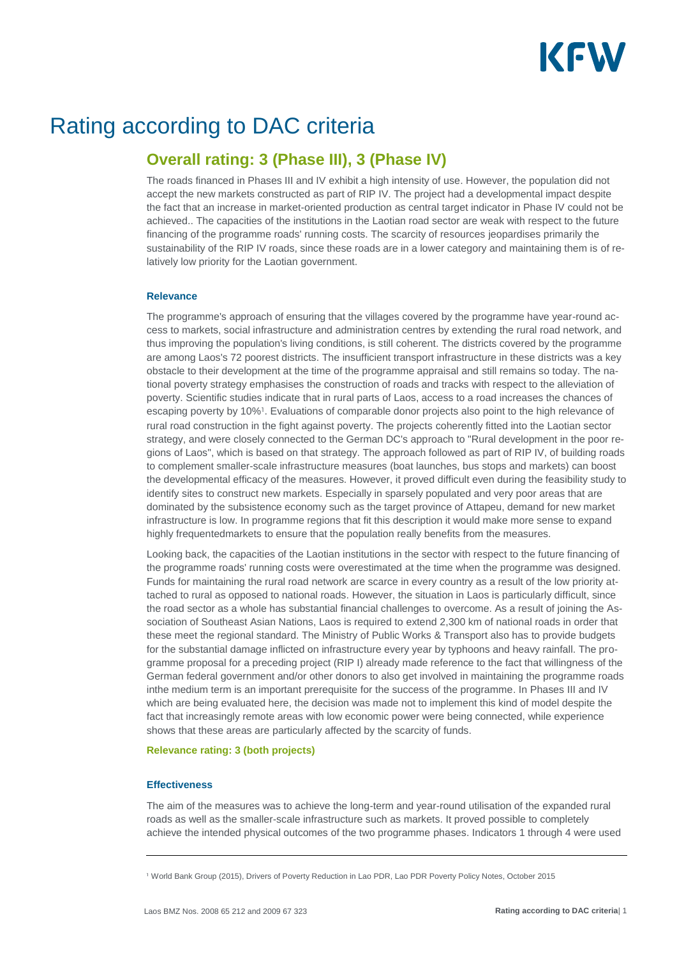

# Rating according to DAC criteria

### **Overall rating: 3 (Phase III), 3 (Phase IV)**

The roads financed in Phases III and IV exhibit a high intensity of use. However, the population did not accept the new markets constructed as part of RIP IV. The project had a developmental impact despite the fact that an increase in market-oriented production as central target indicator in Phase IV could not be achieved.. The capacities of the institutions in the Laotian road sector are weak with respect to the future financing of the programme roads' running costs. The scarcity of resources jeopardises primarily the sustainability of the RIP IV roads, since these roads are in a lower category and maintaining them is of relatively low priority for the Laotian government.

#### **Relevance**

The programme's approach of ensuring that the villages covered by the programme have year-round access to markets, social infrastructure and administration centres by extending the rural road network, and thus improving the population's living conditions, is still coherent. The districts covered by the programme are among Laos's 72 poorest districts. The insufficient transport infrastructure in these districts was a key obstacle to their development at the time of the programme appraisal and still remains so today. The national poverty strategy emphasises the construction of roads and tracks with respect to the alleviation of poverty. Scientific studies indicate that in rural parts of Laos, access to a road increases the chances of escaping poverty by 10%<sup>1</sup>. Evaluations of comparable donor projects also point to the high relevance of rural road construction in the fight against poverty. The projects coherently fitted into the Laotian sector strategy, and were closely connected to the German DC's approach to "Rural development in the poor regions of Laos", which is based on that strategy. The approach followed as part of RIP IV, of building roads to complement smaller-scale infrastructure measures (boat launches, bus stops and markets) can boost the developmental efficacy of the measures. However, it proved difficult even during the feasibility study to identify sites to construct new markets. Especially in sparsely populated and very poor areas that are dominated by the subsistence economy such as the target province of Attapeu, demand for new market infrastructure is low. In programme regions that fit this description it would make more sense to expand highly frequentedmarkets to ensure that the population really benefits from the measures.

Looking back, the capacities of the Laotian institutions in the sector with respect to the future financing of the programme roads' running costs were overestimated at the time when the programme was designed. Funds for maintaining the rural road network are scarce in every country as a result of the low priority attached to rural as opposed to national roads. However, the situation in Laos is particularly difficult, since the road sector as a whole has substantial financial challenges to overcome. As a result of joining the Association of Southeast Asian Nations, Laos is required to extend 2,300 km of national roads in order that these meet the regional standard. The Ministry of Public Works & Transport also has to provide budgets for the substantial damage inflicted on infrastructure every year by typhoons and heavy rainfall. The programme proposal for a preceding project (RIP I) already made reference to the fact that willingness of the German federal government and/or other donors to also get involved in maintaining the programme roads inthe medium term is an important prerequisite for the success of the programme. In Phases III and IV which are being evaluated here, the decision was made not to implement this kind of model despite the fact that increasingly remote areas with low economic power were being connected, while experience shows that these areas are particularly affected by the scarcity of funds.

#### **Relevance rating: 3 (both projects)**

#### **Effectiveness**

The aim of the measures was to achieve the long-term and year-round utilisation of the expanded rural roads as well as the smaller-scale infrastructure such as markets. It proved possible to completely achieve the intended physical outcomes of the two programme phases. Indicators 1 through 4 were used

World Bank Group (2015), Drivers of Poverty Reduction in Lao PDR, Lao PDR Poverty Policy Notes, October 2015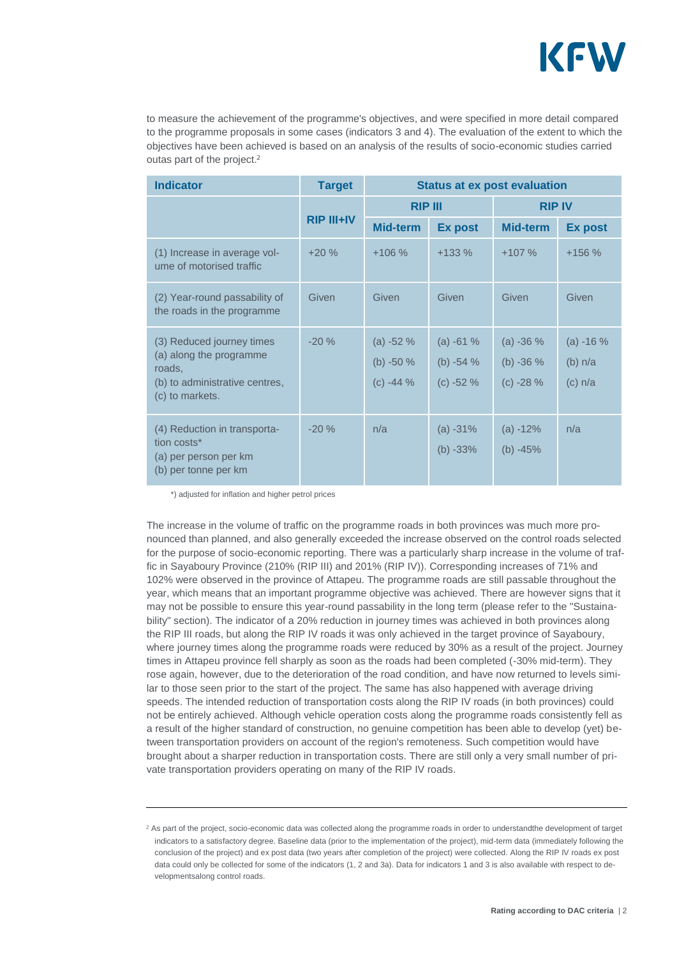

to measure the achievement of the programme's objectives, and were specified in more detail compared to the programme proposals in some cases (indicators 3 and 4). The evaluation of the extent to which the objectives have been achieved is based on an analysis of the results of socio-economic studies carried outas part of the project.

| <b>Indicator</b>                                                                                                    | <b>Target</b>     | <b>Status at ex post evaluation</b>    |                                        |                                        |                                    |  |
|---------------------------------------------------------------------------------------------------------------------|-------------------|----------------------------------------|----------------------------------------|----------------------------------------|------------------------------------|--|
|                                                                                                                     |                   | <b>RIP III</b>                         |                                        | <b>RIP IV</b>                          |                                    |  |
|                                                                                                                     | <b>RIP III+IV</b> | <b>Mid-term</b>                        | <b>Ex post</b>                         | Mid-term                               | <b>Ex post</b>                     |  |
| (1) Increase in average vol-<br>ume of motorised traffic                                                            | $+20%$            | $+106%$                                | $+133%$                                | $+107%$                                | $+156%$                            |  |
| (2) Year-round passability of<br>the roads in the programme                                                         | Given             | Given                                  | Given                                  | Given                                  | Given                              |  |
| (3) Reduced journey times<br>(a) along the programme<br>roads,<br>(b) to administrative centres,<br>(c) to markets. | $-20%$            | $(a) -52%$<br>(b) $-50%$<br>$(c) -44%$ | $(a) -61%$<br>(b) $-54%$<br>$(c) -52%$ | $(a) -36%$<br>(b) $-36%$<br>$(c) -28%$ | $(a) -16%$<br>(b) n/a<br>$(c)$ n/a |  |
| (4) Reduction in transporta-<br>tion costs*<br>(a) per person per km<br>(b) per tonne per km                        | $-20%$            | n/a                                    | $(a) -31%$<br>$(b) -33%$               | $(a) -12%$<br>(b) $-45%$               | n/a                                |  |

\*) adjusted for inflation and higher petrol prices

The increase in the volume of traffic on the programme roads in both provinces was much more pronounced than planned, and also generally exceeded the increase observed on the control roads selected for the purpose of socio-economic reporting. There was a particularly sharp increase in the volume of traffic in Sayaboury Province (210% (RIP III) and 201% (RIP IV)). Corresponding increases of 71% and 102% were observed in the province of Attapeu. The programme roads are still passable throughout the year, which means that an important programme objective was achieved. There are however signs that it may not be possible to ensure this year-round passability in the long term (please refer to the "Sustainability" section). The indicator of a 20% reduction in journey times was achieved in both provinces along the RIP III roads, but along the RIP IV roads it was only achieved in the target province of Sayaboury, where journey times along the programme roads were reduced by 30% as a result of the project. Journey times in Attapeu province fell sharply as soon as the roads had been completed (-30% mid-term). They rose again, however, due to the deterioration of the road condition, and have now returned to levels similar to those seen prior to the start of the project. The same has also happened with average driving speeds. The intended reduction of transportation costs along the RIP IV roads (in both provinces) could not be entirely achieved. Although vehicle operation costs along the programme roads consistently fell as a result of the higher standard of construction, no genuine competition has been able to develop (yet) between transportation providers on account of the region's remoteness. Such competition would have brought about a sharper reduction in transportation costs. There are still only a very small number of private transportation providers operating on many of the RIP IV roads.

<sup>&</sup>lt;sup>2</sup> As part of the project, socio-economic data was collected along the programme roads in order to understandthe development of target indicators to a satisfactory degree. Baseline data (prior to the implementation of the project), mid-term data (immediately following the conclusion of the project) and ex post data (two years after completion of the project) were collected. Along the RIP IV roads ex post data could only be collected for some of the indicators (1, 2 and 3a). Data for indicators 1 and 3 is also available with respect to developmentsalong control roads.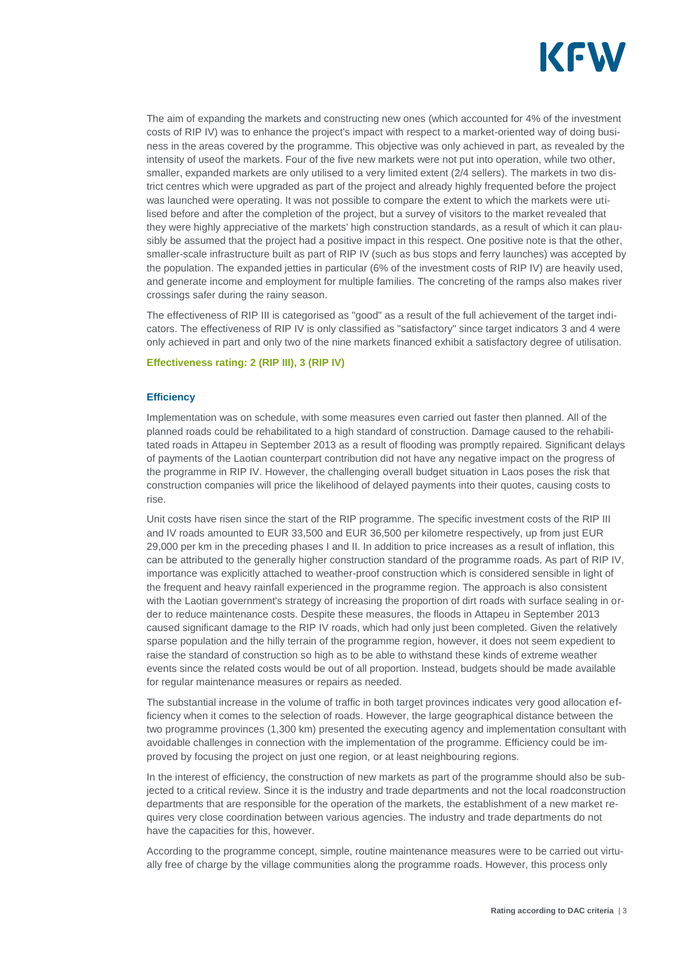

The aim of expanding the markets and constructing new ones (which accounted for 4% of the investment costs of RIP IV) was to enhance the project's impact with respect to a market-oriented way of doing business in the areas covered by the programme. This objective was only achieved in part, as revealed by the intensity of useof the markets. Four of the five new markets were not put into operation, while two other, smaller, expanded markets are only utilised to a very limited extent (2/4 sellers). The markets in two district centres which were upgraded as part of the project and already highly frequented before the project was launched were operating. It was not possible to compare the extent to which the markets were utilised before and after the completion of the project, but a survey of visitors to the market revealed that they were highly appreciative of the markets' high construction standards, as a result of which it can plausibly be assumed that the project had a positive impact in this respect. One positive note is that the other, smaller-scale infrastructure built as part of RIP IV (such as bus stops and ferry launches) was accepted by the population. The expanded jetties in particular (6% of the investment costs of RIP IV) are heavily used, and generate income and employment for multiple families. The concreting of the ramps also makes river crossings safer during the rainy season.

The effectiveness of RIP III is categorised as "good" as a result of the full achievement of the target indicators. The effectiveness of RIP IV is only classified as "satisfactory" since target indicators 3 and 4 were only achieved in part and only two of the nine markets financed exhibit a satisfactory degree of utilisation.

#### **Effectiveness rating: 2 (RIP III), 3 (RIP IV)**

#### **Efficiency**

Implementation was on schedule, with some measures even carried out faster then planned. All of the planned roads could be rehabilitated to a high standard of construction. Damage caused to the rehabilitated roads in Attapeu in September 2013 as a result of flooding was promptly repaired. Significant delays of payments of the Laotian counterpart contribution did not have any negative impact on the progress of the programme in RIP IV. However, the challenging overall budget situation in Laos poses the risk that construction companies will price the likelihood of delayed payments into their quotes, causing costs to rise.

Unit costs have risen since the start of the RIP programme. The specific investment costs of the RIP III and IV roads amounted to EUR 33,500 and EUR 36,500 per kilometre respectively, up from just EUR 29,000 per km in the preceding phases I and II. In addition to price increases as a result of inflation, this can be attributed to the generally higher construction standard of the programme roads. As part of RIP IV, importance was explicitly attached to weather-proof construction which is considered sensible in light of the frequent and heavy rainfall experienced in the programme region. The approach is also consistent with the Laotian government's strategy of increasing the proportion of dirt roads with surface sealing in order to reduce maintenance costs. Despite these measures, the floods in Attapeu in September 2013 caused significant damage to the RIP IV roads, which had only just been completed. Given the relatively sparse population and the hilly terrain of the programme region, however, it does not seem expedient to raise the standard of construction so high as to be able to withstand these kinds of extreme weather events since the related costs would be out of all proportion. Instead, budgets should be made available for regular maintenance measures or repairs as needed.

The substantial increase in the volume of traffic in both target provinces indicates very good allocation efficiency when it comes to the selection of roads. However, the large geographical distance between the two programme provinces (1,300 km) presented the executing agency and implementation consultant with avoidable challenges in connection with the implementation of the programme. Efficiency could be improved by focusing the project on just one region, or at least neighbouring regions.

In the interest of efficiency, the construction of new markets as part of the programme should also be subjected to a critical review. Since it is the industry and trade departments and not the local roadconstruction departments that are responsible for the operation of the markets, the establishment of a new market requires very close coordination between various agencies. The industry and trade departments do not have the capacities for this, however.

According to the programme concept, simple, routine maintenance measures were to be carried out virtually free of charge by the village communities along the programme roads. However, this process only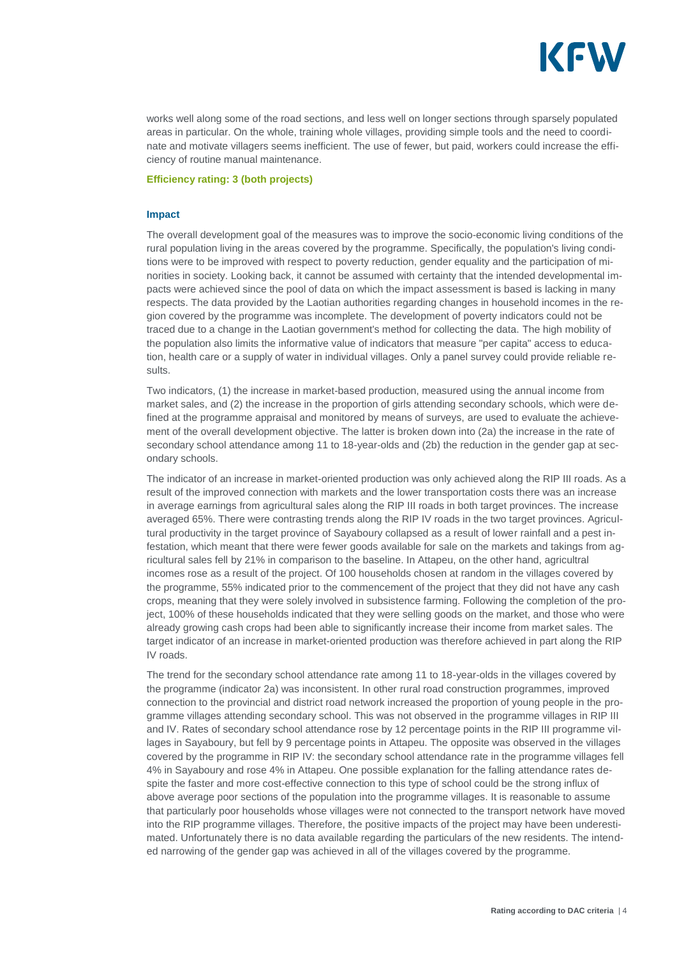

works well along some of the road sections, and less well on longer sections through sparsely populated areas in particular. On the whole, training whole villages, providing simple tools and the need to coordinate and motivate villagers seems inefficient. The use of fewer, but paid, workers could increase the efficiency of routine manual maintenance.

#### **Efficiency rating: 3 (both projects)**

#### **Impact**

The overall development goal of the measures was to improve the socio-economic living conditions of the rural population living in the areas covered by the programme. Specifically, the population's living conditions were to be improved with respect to poverty reduction, gender equality and the participation of minorities in society. Looking back, it cannot be assumed with certainty that the intended developmental impacts were achieved since the pool of data on which the impact assessment is based is lacking in many respects. The data provided by the Laotian authorities regarding changes in household incomes in the region covered by the programme was incomplete. The development of poverty indicators could not be traced due to a change in the Laotian government's method for collecting the data. The high mobility of the population also limits the informative value of indicators that measure "per capita" access to education, health care or a supply of water in individual villages. Only a panel survey could provide reliable results.

Two indicators, (1) the increase in market-based production, measured using the annual income from market sales, and (2) the increase in the proportion of girls attending secondary schools, which were defined at the programme appraisal and monitored by means of surveys, are used to evaluate the achievement of the overall development objective. The latter is broken down into (2a) the increase in the rate of secondary school attendance among 11 to 18-year-olds and (2b) the reduction in the gender gap at secondary schools.

The indicator of an increase in market-oriented production was only achieved along the RIP III roads. As a result of the improved connection with markets and the lower transportation costs there was an increase in average earnings from agricultural sales along the RIP III roads in both target provinces. The increase averaged 65%. There were contrasting trends along the RIP IV roads in the two target provinces. Agricultural productivity in the target province of Sayaboury collapsed as a result of lower rainfall and a pest infestation, which meant that there were fewer goods available for sale on the markets and takings from agricultural sales fell by 21% in comparison to the baseline. In Attapeu, on the other hand, agricultral incomes rose as a result of the project. Of 100 households chosen at random in the villages covered by the programme, 55% indicated prior to the commencement of the project that they did not have any cash crops, meaning that they were solely involved in subsistence farming. Following the completion of the project, 100% of these households indicated that they were selling goods on the market, and those who were already growing cash crops had been able to significantly increase their income from market sales. The target indicator of an increase in market-oriented production was therefore achieved in part along the RIP IV roads.

The trend for the secondary school attendance rate among 11 to 18-year-olds in the villages covered by the programme (indicator 2a) was inconsistent. In other rural road construction programmes, improved connection to the provincial and district road network increased the proportion of young people in the programme villages attending secondary school. This was not observed in the programme villages in RIP III and IV. Rates of secondary school attendance rose by 12 percentage points in the RIP III programme villages in Sayaboury, but fell by 9 percentage points in Attapeu. The opposite was observed in the villages covered by the programme in RIP IV: the secondary school attendance rate in the programme villages fell 4% in Sayaboury and rose 4% in Attapeu. One possible explanation for the falling attendance rates despite the faster and more cost-effective connection to this type of school could be the strong influx of above average poor sections of the population into the programme villages. It is reasonable to assume that particularly poor households whose villages were not connected to the transport network have moved into the RIP programme villages. Therefore, the positive impacts of the project may have been underestimated. Unfortunately there is no data available regarding the particulars of the new residents. The intended narrowing of the gender gap was achieved in all of the villages covered by the programme.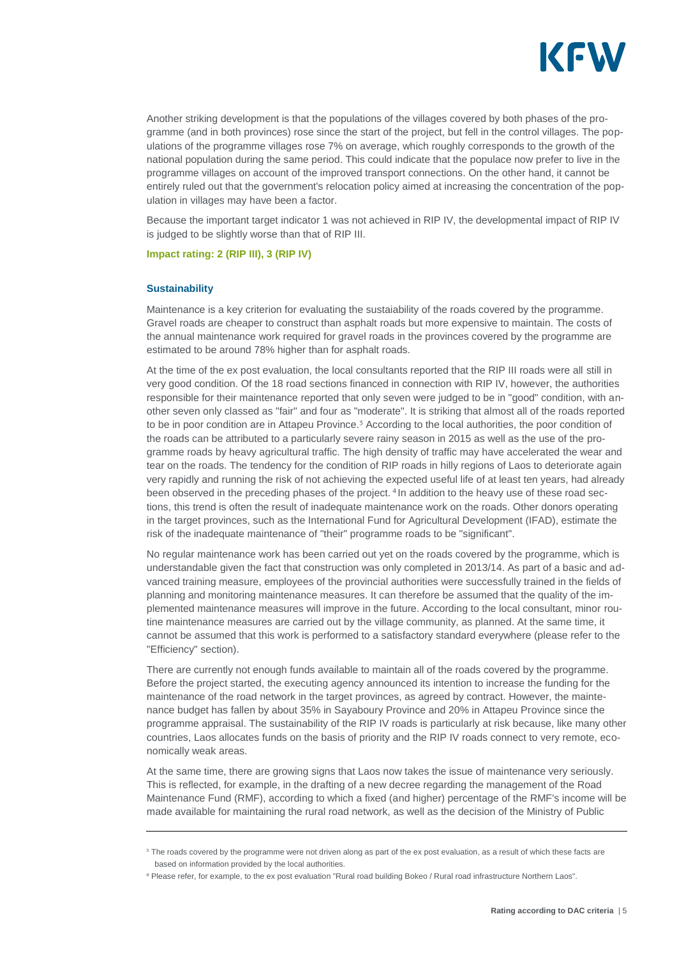

Another striking development is that the populations of the villages covered by both phases of the programme (and in both provinces) rose since the start of the project, but fell in the control villages. The populations of the programme villages rose 7% on average, which roughly corresponds to the growth of the national population during the same period. This could indicate that the populace now prefer to live in the programme villages on account of the improved transport connections. On the other hand, it cannot be entirely ruled out that the government's relocation policy aimed at increasing the concentration of the population in villages may have been a factor.

Because the important target indicator 1 was not achieved in RIP IV, the developmental impact of RIP IV is judged to be slightly worse than that of RIP III.

**Impact rating: 2 (RIP III), 3 (RIP IV)**

#### **Sustainability**

Maintenance is a key criterion for evaluating the sustaiability of the roads covered by the programme. Gravel roads are cheaper to construct than asphalt roads but more expensive to maintain. The costs of the annual maintenance work required for gravel roads in the provinces covered by the programme are estimated to be around 78% higher than for asphalt roads.

At the time of the ex post evaluation, the local consultants reported that the RIP III roads were all still in very good condition. Of the 18 road sections financed in connection with RIP IV, however, the authorities responsible for their maintenance reported that only seven were judged to be in "good" condition, with another seven only classed as "fair" and four as "moderate". It is striking that almost all of the roads reported to be in poor condition are in Attapeu Province.<sup>3</sup> According to the local authorities, the poor condition of the roads can be attributed to a particularly severe rainy season in 2015 as well as the use of the programme roads by heavy agricultural traffic. The high density of traffic may have accelerated the wear and tear on the roads. The tendency for the condition of RIP roads in hilly regions of Laos to deteriorate again very rapidly and running the risk of not achieving the expected useful life of at least ten years, had already been observed in the preceding phases of the project.<sup>4</sup> In addition to the heavy use of these road sections, this trend is often the result of inadequate maintenance work on the roads. Other donors operating in the target provinces, such as the International Fund for Agricultural Development (IFAD), estimate the risk of the inadequate maintenance of "their" programme roads to be "significant".

No regular maintenance work has been carried out yet on the roads covered by the programme, which is understandable given the fact that construction was only completed in 2013/14. As part of a basic and advanced training measure, employees of the provincial authorities were successfully trained in the fields of planning and monitoring maintenance measures. It can therefore be assumed that the quality of the implemented maintenance measures will improve in the future. According to the local consultant, minor routine maintenance measures are carried out by the village community, as planned. At the same time, it cannot be assumed that this work is performed to a satisfactory standard everywhere (please refer to the "Efficiency" section).

There are currently not enough funds available to maintain all of the roads covered by the programme. Before the project started, the executing agency announced its intention to increase the funding for the maintenance of the road network in the target provinces, as agreed by contract. However, the maintenance budget has fallen by about 35% in Sayaboury Province and 20% in Attapeu Province since the programme appraisal. The sustainability of the RIP IV roads is particularly at risk because, like many other countries, Laos allocates funds on the basis of priority and the RIP IV roads connect to very remote, economically weak areas.

At the same time, there are growing signs that Laos now takes the issue of maintenance very seriously. This is reflected, for example, in the drafting of a new decree regarding the management of the Road Maintenance Fund (RMF), according to which a fixed (and higher) percentage of the RMF's income will be made available for maintaining the rural road network, as well as the decision of the Ministry of Public

<sup>&</sup>lt;sup>3</sup> The roads covered by the programme were not driven along as part of the ex post evaluation, as a result of which these facts are based on information provided by the local authorities.

Please refer, for example, to the ex post evaluation "Rural road building Bokeo / Rural road infrastructure Northern Laos".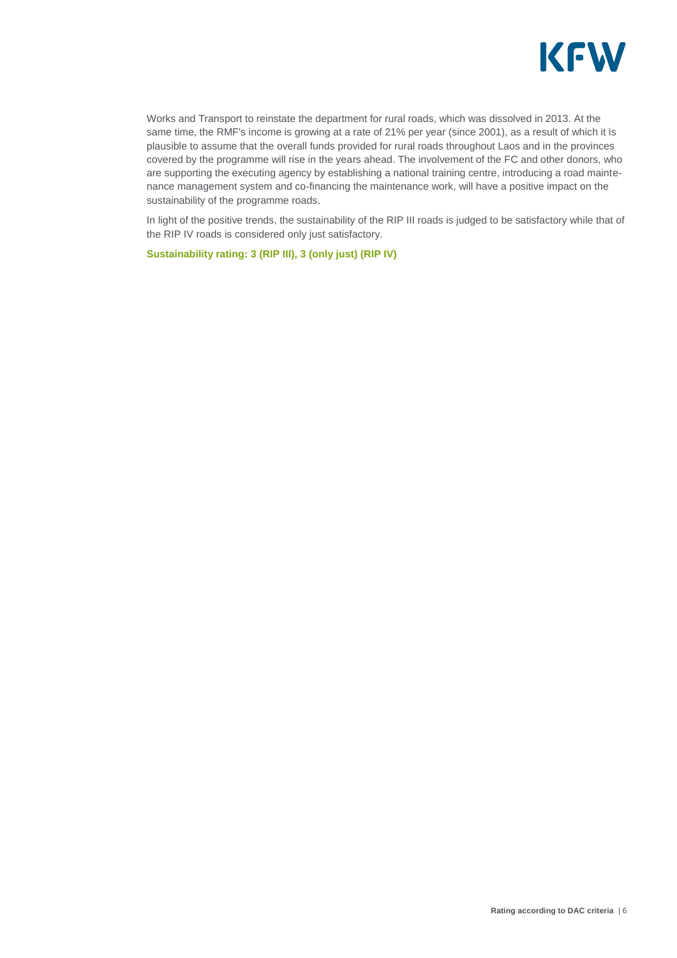

Works and Transport to reinstate the department for rural roads, which was dissolved in 2013. At the same time, the RMF's income is growing at a rate of 21% per year (since 2001), as a result of which it is plausible to assume that the overall funds provided for rural roads throughout Laos and in the provinces covered by the programme will rise in the years ahead. The involvement of the FC and other donors, who are supporting the executing agency by establishing a national training centre, introducing a road maintenance management system and co-financing the maintenance work, will have a positive impact on the sustainability of the programme roads.

In light of the positive trends, the sustainability of the RIP III roads is judged to be satisfactory while that of the RIP IV roads is considered only just satisfactory.

**Sustainability rating: 3 (RIP III), 3 (only just) (RIP IV)**